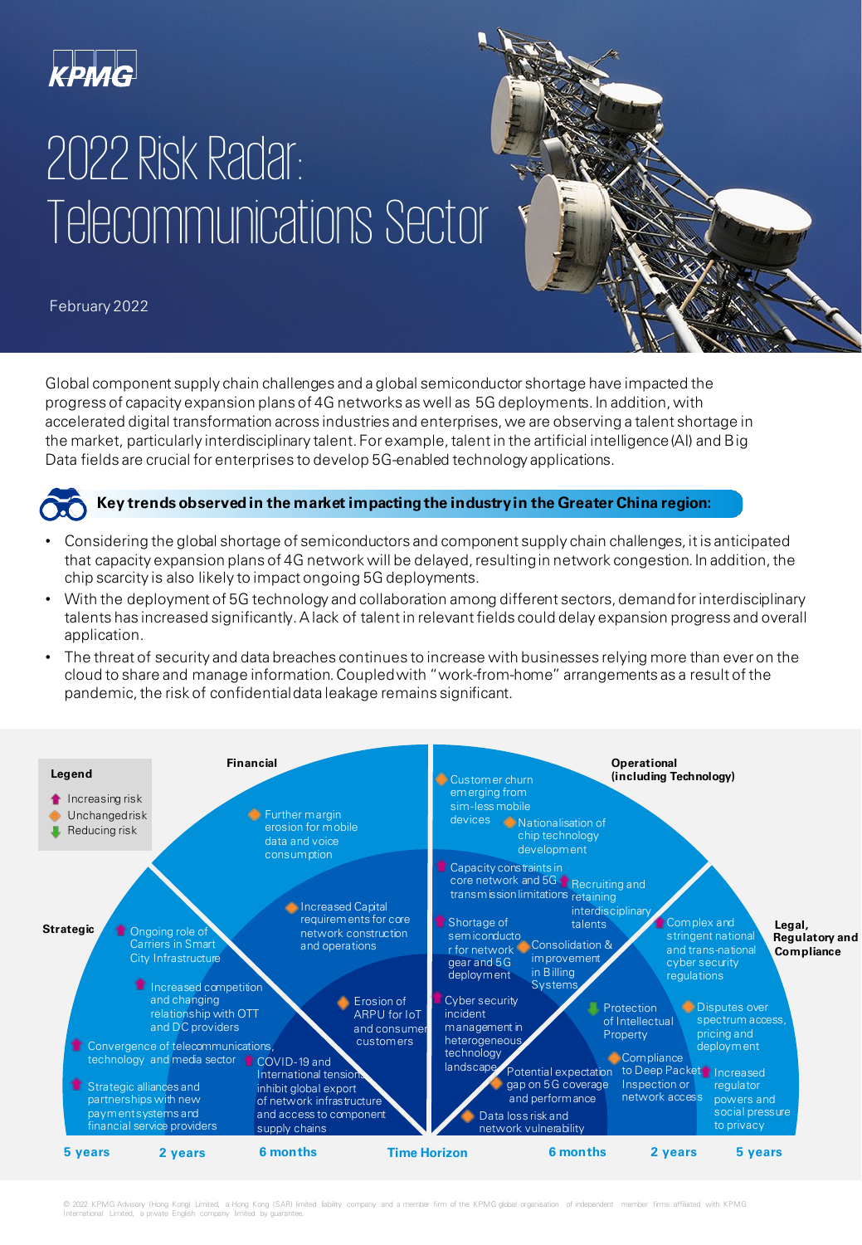

## 2022 Risk Radar: Telecommunications Sector

February 2022

Global component supply chain challenges and a global semiconductor shortage have impacted the progress of capacity expansion plans of 4G networks as well as 5G deployments. In addition, with accelerated digital transformation across industries and enterprises, we are observing a talent shortage in the market, particularly interdisciplinary talent. For example, talent in the artificial intelligence (AI) and Big Data fields are crucial for enterprises to develop 5G-enabled technology applications.



#### **Key trends observed in the market impacting the industry in the Greater China region:**

- Considering the global shortage of semiconductors and component supply chain challenges, it is anticipated that capacity expansion plans of 4G network will be delayed, resulting in network congestion. In addition, the chip scarcity is also likely to impact ongoing 5G deployments.
- With the deployment of 5G technology and collaboration among different sectors, demand for interdisciplinary talents has increased significantly. A lack of talent in relevant fields could delay expansion progress and overall application.
- The threat of security and data breaches continues to increase with businesses relying more than ever on the cloud to share and manage information. Coupled with "work-from-home" arrangements as a result of the pandemic, the risk of confidential data leakage remains significant.



© 2022 KPMG Advisory (Hong Kong) Limited, a Hong Kong (SAR) limited liability company and a member firm of the KPMG global organisation of independent member firms affiliated with KPMG International Limited, a private English company limited by quarantee.